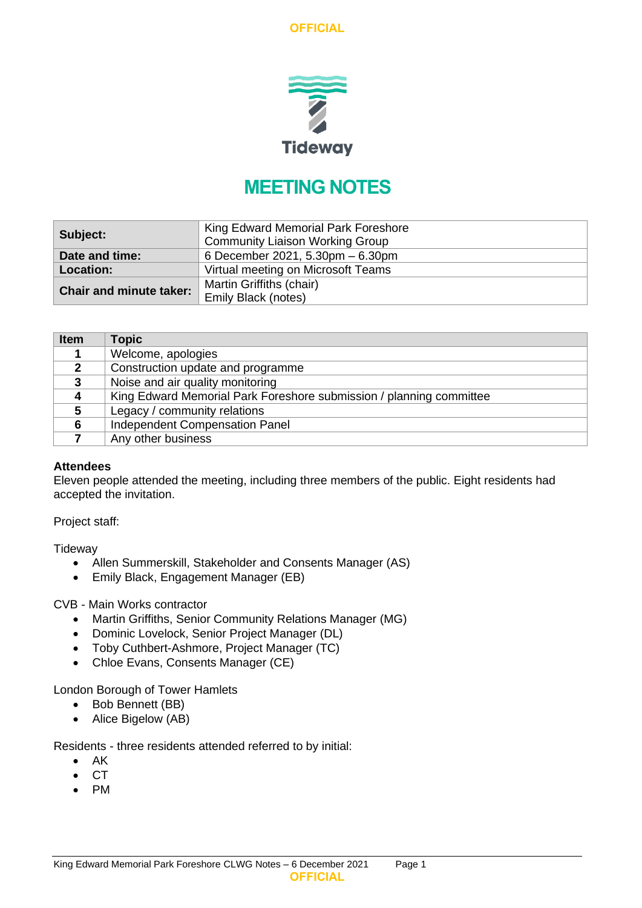

# **MEETING NOTES**

| Subject:                       | King Edward Memorial Park Foreshore<br><b>Community Liaison Working Group</b> |
|--------------------------------|-------------------------------------------------------------------------------|
| Date and time:                 | 6 December 2021, 5.30pm – 6.30pm                                              |
| <b>Location:</b>               | Virtual meeting on Microsoft Teams                                            |
| <b>Chair and minute taker:</b> | Martin Griffiths (chair)                                                      |
|                                | <b>Emily Black (notes)</b>                                                    |

| <b>Item</b>    | <b>Topic</b>                                                        |
|----------------|---------------------------------------------------------------------|
|                | Welcome, apologies                                                  |
| $\mathbf{2}$   | Construction update and programme                                   |
| 3              | Noise and air quality monitoring                                    |
| $\overline{4}$ | King Edward Memorial Park Foreshore submission / planning committee |
| 5              | Legacy / community relations                                        |
| 6              | <b>Independent Compensation Panel</b>                               |
|                | Any other business                                                  |

#### **Attendees**

Eleven people attended the meeting, including three members of the public. Eight residents had accepted the invitation.

Project staff:

**Tideway** 

- Allen Summerskill, Stakeholder and Consents Manager (AS)
- Emily Black, Engagement Manager (EB)

CVB - Main Works contractor

- Martin Griffiths, Senior Community Relations Manager (MG)
- Dominic Lovelock, Senior Project Manager (DL)
- Toby Cuthbert-Ashmore, Project Manager (TC)
- Chloe Evans, Consents Manager (CE)

London Borough of Tower Hamlets

- Bob Bennett (BB)
- Alice Bigelow (AB)

Residents - three residents attended referred to by initial:

- AK
- CT
- PM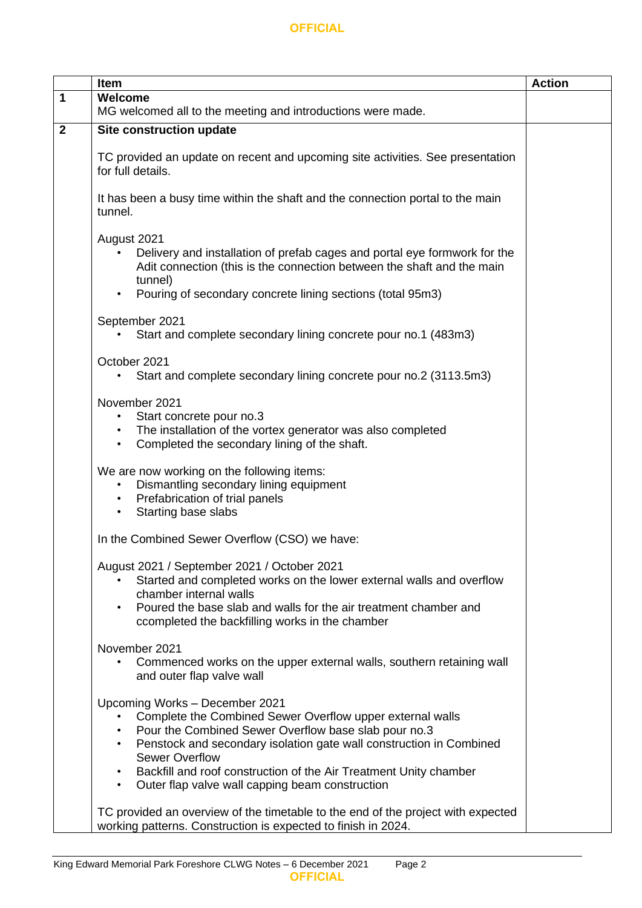|              | Item                                                                                                                                                                                                                                                                                                                                                                                                               | <b>Action</b> |  |
|--------------|--------------------------------------------------------------------------------------------------------------------------------------------------------------------------------------------------------------------------------------------------------------------------------------------------------------------------------------------------------------------------------------------------------------------|---------------|--|
| $\mathbf 1$  | Welcome                                                                                                                                                                                                                                                                                                                                                                                                            |               |  |
|              | MG welcomed all to the meeting and introductions were made.                                                                                                                                                                                                                                                                                                                                                        |               |  |
| $\mathbf{2}$ | Site construction update                                                                                                                                                                                                                                                                                                                                                                                           |               |  |
|              | TC provided an update on recent and upcoming site activities. See presentation<br>for full details.                                                                                                                                                                                                                                                                                                                |               |  |
|              | It has been a busy time within the shaft and the connection portal to the main<br>tunnel.                                                                                                                                                                                                                                                                                                                          |               |  |
|              | August 2021<br>Delivery and installation of prefab cages and portal eye formwork for the<br>Adit connection (this is the connection between the shaft and the main<br>tunnel)<br>Pouring of secondary concrete lining sections (total 95m3)<br>$\bullet$                                                                                                                                                           |               |  |
|              | September 2021<br>Start and complete secondary lining concrete pour no.1 (483m3)                                                                                                                                                                                                                                                                                                                                   |               |  |
|              | October 2021<br>Start and complete secondary lining concrete pour no.2 (3113.5m3)                                                                                                                                                                                                                                                                                                                                  |               |  |
|              | November 2021<br>Start concrete pour no.3<br>$\bullet$<br>The installation of the vortex generator was also completed<br>$\bullet$<br>Completed the secondary lining of the shaft.<br>$\bullet$                                                                                                                                                                                                                    |               |  |
|              | We are now working on the following items:<br>Dismantling secondary lining equipment<br>$\bullet$<br>• Prefabrication of trial panels<br>Starting base slabs<br>$\bullet$                                                                                                                                                                                                                                          |               |  |
|              | In the Combined Sewer Overflow (CSO) we have:                                                                                                                                                                                                                                                                                                                                                                      |               |  |
|              | August 2021 / September 2021 / October 2021<br>Started and completed works on the lower external walls and overflow<br>chamber internal walls<br>Poured the base slab and walls for the air treatment chamber and<br>$\bullet$<br>ccompleted the backfilling works in the chamber                                                                                                                                  |               |  |
|              | November 2021<br>Commenced works on the upper external walls, southern retaining wall<br>and outer flap valve wall                                                                                                                                                                                                                                                                                                 |               |  |
|              | Upcoming Works - December 2021<br>Complete the Combined Sewer Overflow upper external walls<br>Pour the Combined Sewer Overflow base slab pour no.3<br>$\bullet$<br>Penstock and secondary isolation gate wall construction in Combined<br>$\bullet$<br><b>Sewer Overflow</b><br>Backfill and roof construction of the Air Treatment Unity chamber<br>Outer flap valve wall capping beam construction<br>$\bullet$ |               |  |
|              | TC provided an overview of the timetable to the end of the project with expected<br>working patterns. Construction is expected to finish in 2024.                                                                                                                                                                                                                                                                  |               |  |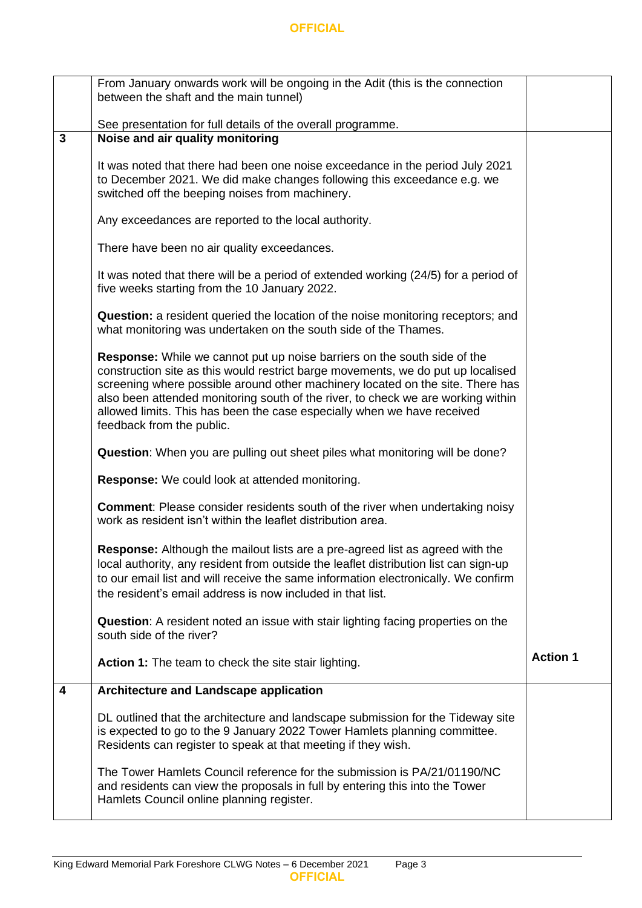|              | From January onwards work will be ongoing in the Adit (this is the connection<br>between the shaft and the main tunnel)                                                                                                                                                                                                                                                                                                                           |                 |
|--------------|---------------------------------------------------------------------------------------------------------------------------------------------------------------------------------------------------------------------------------------------------------------------------------------------------------------------------------------------------------------------------------------------------------------------------------------------------|-----------------|
|              | See presentation for full details of the overall programme.                                                                                                                                                                                                                                                                                                                                                                                       |                 |
| $\mathbf{3}$ | Noise and air quality monitoring                                                                                                                                                                                                                                                                                                                                                                                                                  |                 |
|              | It was noted that there had been one noise exceedance in the period July 2021<br>to December 2021. We did make changes following this exceedance e.g. we<br>switched off the beeping noises from machinery.                                                                                                                                                                                                                                       |                 |
|              | Any exceedances are reported to the local authority.                                                                                                                                                                                                                                                                                                                                                                                              |                 |
|              | There have been no air quality exceedances.                                                                                                                                                                                                                                                                                                                                                                                                       |                 |
|              | It was noted that there will be a period of extended working (24/5) for a period of<br>five weeks starting from the 10 January 2022.                                                                                                                                                                                                                                                                                                              |                 |
|              | Question: a resident queried the location of the noise monitoring receptors; and<br>what monitoring was undertaken on the south side of the Thames.                                                                                                                                                                                                                                                                                               |                 |
|              | <b>Response:</b> While we cannot put up noise barriers on the south side of the<br>construction site as this would restrict barge movements, we do put up localised<br>screening where possible around other machinery located on the site. There has<br>also been attended monitoring south of the river, to check we are working within<br>allowed limits. This has been the case especially when we have received<br>feedback from the public. |                 |
|              | <b>Question:</b> When you are pulling out sheet piles what monitoring will be done?                                                                                                                                                                                                                                                                                                                                                               |                 |
|              | Response: We could look at attended monitoring.                                                                                                                                                                                                                                                                                                                                                                                                   |                 |
|              | <b>Comment:</b> Please consider residents south of the river when undertaking noisy<br>work as resident isn't within the leaflet distribution area.                                                                                                                                                                                                                                                                                               |                 |
|              | Response: Although the mailout lists are a pre-agreed list as agreed with the<br>local authority, any resident from outside the leaflet distribution list can sign-up<br>to our email list and will receive the same information electronically. We confirm<br>the resident's email address is now included in that list.                                                                                                                         |                 |
|              | <b>Question:</b> A resident noted an issue with stair lighting facing properties on the<br>south side of the river?                                                                                                                                                                                                                                                                                                                               |                 |
|              | <b>Action 1:</b> The team to check the site stair lighting.                                                                                                                                                                                                                                                                                                                                                                                       | <b>Action 1</b> |
| 4            | Architecture and Landscape application                                                                                                                                                                                                                                                                                                                                                                                                            |                 |
|              | DL outlined that the architecture and landscape submission for the Tideway site<br>is expected to go to the 9 January 2022 Tower Hamlets planning committee.<br>Residents can register to speak at that meeting if they wish.                                                                                                                                                                                                                     |                 |
|              | The Tower Hamlets Council reference for the submission is PA/21/01190/NC<br>and residents can view the proposals in full by entering this into the Tower<br>Hamlets Council online planning register.                                                                                                                                                                                                                                             |                 |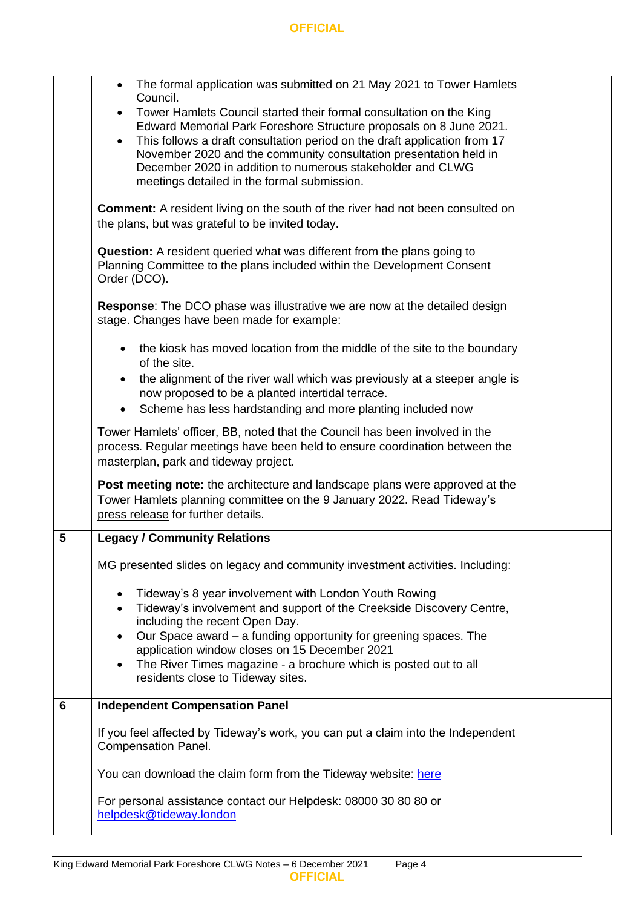|   | The formal application was submitted on 21 May 2021 to Tower Hamlets<br>Council.<br>Tower Hamlets Council started their formal consultation on the King<br>$\bullet$                                                                                                                                                                           |  |  |
|---|------------------------------------------------------------------------------------------------------------------------------------------------------------------------------------------------------------------------------------------------------------------------------------------------------------------------------------------------|--|--|
|   | Edward Memorial Park Foreshore Structure proposals on 8 June 2021.<br>This follows a draft consultation period on the draft application from 17<br>$\bullet$<br>November 2020 and the community consultation presentation held in<br>December 2020 in addition to numerous stakeholder and CLWG<br>meetings detailed in the formal submission. |  |  |
|   | <b>Comment:</b> A resident living on the south of the river had not been consulted on<br>the plans, but was grateful to be invited today.                                                                                                                                                                                                      |  |  |
|   | <b>Question:</b> A resident queried what was different from the plans going to<br>Planning Committee to the plans included within the Development Consent<br>Order (DCO).                                                                                                                                                                      |  |  |
|   | <b>Response:</b> The DCO phase was illustrative we are now at the detailed design<br>stage. Changes have been made for example:                                                                                                                                                                                                                |  |  |
|   | the kiosk has moved location from the middle of the site to the boundary<br>$\bullet$<br>of the site.                                                                                                                                                                                                                                          |  |  |
|   | the alignment of the river wall which was previously at a steeper angle is<br>$\bullet$<br>now proposed to be a planted intertidal terrace.<br>Scheme has less hardstanding and more planting included now<br>$\bullet$                                                                                                                        |  |  |
|   | Tower Hamlets' officer, BB, noted that the Council has been involved in the<br>process. Regular meetings have been held to ensure coordination between the<br>masterplan, park and tideway project.                                                                                                                                            |  |  |
|   | <b>Post meeting note:</b> the architecture and landscape plans were approved at the<br>Tower Hamlets planning committee on the 9 January 2022. Read Tideway's<br>press release for further details.                                                                                                                                            |  |  |
| 5 | <b>Legacy / Community Relations</b>                                                                                                                                                                                                                                                                                                            |  |  |
|   | MG presented slides on legacy and community investment activities. Including:                                                                                                                                                                                                                                                                  |  |  |
|   | Tideway's 8 year involvement with London Youth Rowing<br>٠<br>Tideway's involvement and support of the Creekside Discovery Centre,<br>$\bullet$<br>including the recent Open Day.                                                                                                                                                              |  |  |
|   | Our Space award - a funding opportunity for greening spaces. The<br>$\bullet$<br>application window closes on 15 December 2021<br>The River Times magazine - a brochure which is posted out to all<br>$\bullet$<br>residents close to Tideway sites.                                                                                           |  |  |
| 6 | <b>Independent Compensation Panel</b>                                                                                                                                                                                                                                                                                                          |  |  |
|   | If you feel affected by Tideway's work, you can put a claim into the Independent<br><b>Compensation Panel.</b>                                                                                                                                                                                                                                 |  |  |
|   | You can download the claim form from the Tideway website: here                                                                                                                                                                                                                                                                                 |  |  |
|   | For personal assistance contact our Helpdesk: 08000 30 80 80 or<br>helpdesk@tideway.london                                                                                                                                                                                                                                                     |  |  |
|   |                                                                                                                                                                                                                                                                                                                                                |  |  |